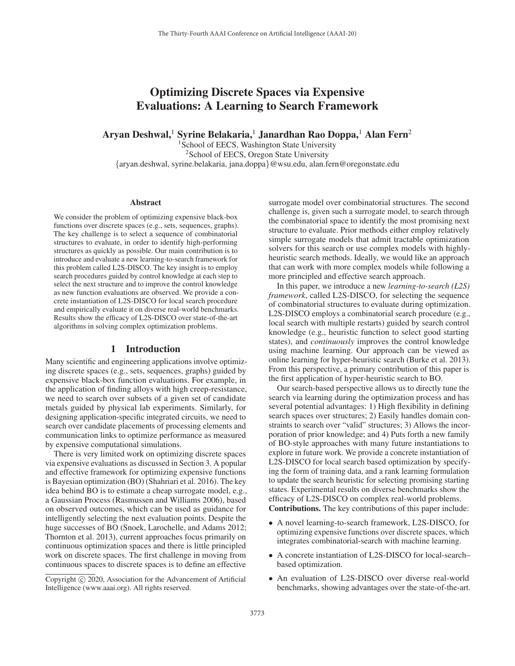# Optimizing Discrete Spaces via Expensive Evaluations: A Learning to Search Framework

Aryan Deshwal,<sup>1</sup> Syrine Belakaria,<sup>1</sup> Janardhan Rao Doppa,<sup>1</sup> Alan Fern<sup>2</sup>

<sup>1</sup>School of EECS, Washington State University <sup>2</sup>School of EECS, Oregon State University {aryan.deshwal, syrine.belakaria, jana.doppa}@wsu.edu, alan.fern@oregonstate.edu

#### Abstract

We consider the problem of optimizing expensive black-box functions over discrete spaces (e.g., sets, sequences, graphs). The key challenge is to select a sequence of combinatorial structures to evaluate, in order to identify high-performing structures as quickly as possible. Our main contribution is to introduce and evaluate a new learning-to-search framework for this problem called L2S-DISCO. The key insight is to employ search procedures guided by control knowledge at each step to select the next structure and to improve the control knowledge as new function evaluations are observed. We provide a concrete instantiation of L2S-DISCO for local search procedure and empirically evaluate it on diverse real-world benchmarks. Results show the efficacy of L2S-DISCO over state-of-the-art algorithms in solving complex optimization problems.

## 1 Introduction

Many scientific and engineering applications involve optimizing discrete spaces (e.g., sets, sequences, graphs) guided by expensive black-box function evaluations. For example, in the application of finding alloys with high creep-resistance, we need to search over subsets of a given set of candidate metals guided by physical lab experiments. Similarly, for designing application-specific integrated circuits, we need to search over candidate placements of processing elements and communication links to optimize performance as measured by expensive computational simulations.

There is very limited work on optimizing discrete spaces via expensive evaluations as discussed in Section 3. A popular and effective framework for optimizing expensive functions is Bayesian optimization (BO) (Shahriari et al. 2016). The key idea behind BO is to estimate a cheap surrogate model, e.g., a Gaussian Process (Rasmussen and Williams 2006), based on observed outcomes, which can be used as guidance for intelligently selecting the next evaluation points. Despite the huge successes of BO (Snoek, Larochelle, and Adams 2012; Thornton et al. 2013), current approaches focus primarily on continuous optimization spaces and there is little principled work on discrete spaces. The first challenge in moving from continuous spaces to discrete spaces is to define an effective

surrogate model over combinatorial structures. The second challenge is, given such a surrogate model, to search through the combinatorial space to identify the most promising next structure to evaluate. Prior methods either employ relatively simple surrogate models that admit tractable optimization solvers for this search or use complex models with highlyheuristic search methods. Ideally, we would like an approach that can work with more complex models while following a more principled and effective search approach.

In this paper, we introduce a new *learning-to-search (L2S) framework*, called L2S-DISCO, for selecting the sequence of combinatorial structures to evaluate during optimization. L2S-DISCO employs a combinatorial search procedure (e.g., local search with multiple restarts) guided by search control knowledge (e.g., heuristic function to select good starting states), and *continuously* improves the control knowledge using machine learning. Our approach can be viewed as online learning for hyper-heuristic search (Burke et al. 2013). From this perspective, a primary contribution of this paper is the first application of hyper-heuristic search to BO.

Our search-based perspective allows us to directly tune the search via learning during the optimization process and has several potential advantages: 1) High flexibility in defining search spaces over structures; 2) Easily handles domain constraints to search over "valid" structures; 3) Allows the incorporation of prior knowledge; and 4) Puts forth a new family of BO-style approaches with many future instantiations to explore in future work. We provide a concrete instantiation of L2S-DISCO for local search based optimization by specifying the form of training data, and a rank learning formulation to update the search heuristic for selecting promising starting states. Experimental results on diverse benchmarks show the efficacy of L2S-DISCO on complex real-world problems.

Contributions. The key contributions of this paper include:

- A novel learning-to-search framework, L2S-DISCO, for optimizing expensive functions over discrete spaces, which integrates combinatorial-search with machine learning.
- A concrete instantiation of L2S-DISCO for local-search– based optimization.
- An evaluation of L2S-DISCO over diverse real-world benchmarks, showing advantages over the state-of-the-art.

Copyright  $\odot$  2020, Association for the Advancement of Artificial Intelligence (www.aaai.org). All rights reserved.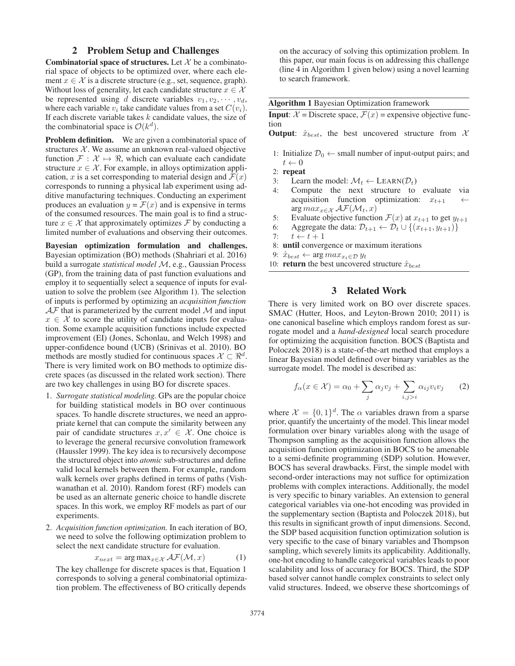# 2 Problem Setup and Challenges

**Combinatorial space of structures.** Let  $\mathcal{X}$  be a combinatorial space of objects to be optimized over, where each element  $x \in \mathcal{X}$  is a discrete structure (e.g., set, sequence, graph). Without loss of generality, let each candidate structure  $x \in \mathcal{X}$ be represented using d discrete variables  $v_1, v_2, \dots, v_d$ , where each variable  $v_i$  take candidate values from a set  $C(v_i)$ . If each discrete variable takes  $k$  candidate values, the size of the combinatorial space is  $\mathcal{O}(k^d)$ .

Problem definition. We are given a combinatorial space of structures  $X$ . We assume an unknown real-valued objective function  $\mathcal{F}: \mathcal{X} \mapsto \Re$ , which can evaluate each candidate structure  $x \in \mathcal{X}$ . For example, in alloys optimization application, x is a set corresponding to material design and  $\mathcal{F}(x)$ corresponds to running a physical lab experiment using additive manufacturing techniques. Conducting an experiment produces an evaluation  $y = \mathcal{F}(x)$  and is expensive in terms of the consumed resources. The main goal is to find a structure  $x \in \mathcal{X}$  that approximately optimizes  $\mathcal{F}$  by conducting a limited number of evaluations and observing their outcomes.

Bayesian optimization formulation and challenges. Bayesian optimization (BO) methods (Shahriari et al. 2016) build a surrogate *statistical model* M, e.g., Gaussian Process (GP), from the training data of past function evaluations and employ it to sequentially select a sequence of inputs for evaluation to solve the problem (see Algorithm 1). The selection of inputs is performed by optimizing an *acquisition function*  $\mathcal{AF}$  that is parameterized by the current model  $\mathcal M$  and input  $x \in \mathcal{X}$  to score the utility of candidate inputs for evaluation. Some example acquisition functions include expected improvement (EI) (Jones, Schonlau, and Welch 1998) and upper-confidence bound (UCB) (Srinivas et al. 2010). BO methods are mostly studied for continuous spaces  $\mathcal{X} \subset \mathbb{R}^d$ . There is very limited work on BO methods to optimize discrete spaces (as discussed in the related work section). There are two key challenges in using BO for discrete spaces.

- 1. *Surrogate statistical modeling.* GPs are the popular choice for building statistical models in BO over continuous spaces. To handle discrete structures, we need an appropriate kernel that can compute the similarity between any pair of candidate structures  $x, x' \in \mathcal{X}$ . One choice is to leverage the general recursive convolution framework (Haussler 1999). The key idea is to recursively decompose the structured object into *atomic* sub-structures and define valid local kernels between them. For example, random walk kernels over graphs defined in terms of paths (Vishwanathan et al. 2010). Random forest (RF) models can be used as an alternate generic choice to handle discrete spaces. In this work, we employ RF models as part of our experiments.
- 2. *Acquisition function optimization.* In each iteration of BO, we need to solve the following optimization problem to select the next candidate structure for evaluation.

$$
x_{next} = \arg \max_{x \in \mathcal{X}} \mathcal{AF}(\mathcal{M}, x)
$$
 (1)

 $x_{next} = \arg \max_{x \in \mathcal{X}} \mathcal{AF}(\mathcal{M}, x)$  (1)<br>The key challenge for discrete spaces is that, Equation 1 corresponds to solving a general combinatorial optimization problem. The effectiveness of BO critically depends on the accuracy of solving this optimization problem. In this paper, our main focus is on addressing this challenge (line 4 in Algorithm 1 given below) using a novel learning to search framework.

| <b>Algorithm 1 Bayesian Optimization framework</b> |  |  |
|----------------------------------------------------|--|--|
|----------------------------------------------------|--|--|

**Input:**  $\mathcal{X} =$  Discrete space,  $\mathcal{F}(x) =$  expensive objective function

**Output:**  $\hat{x}_{best}$ , the best uncovered structure from  $\mathcal{X}$ 

- 1: Initialize  $\mathcal{D}_0 \leftarrow$  small number of input-output pairs; and  $t \leftarrow 0$
- 2: repeat
- 3: Learn the model:  $\mathcal{M}_t \leftarrow \text{LEARN}(\mathcal{D}_t)$
- 4: Compute the next structure to evaluate via acquisition function optimization:  $x_{t+1}$ arg  $max_{x \in \mathcal{X}} \mathcal{AF}(\mathcal{M}_t, x)$
- 5: Evaluate objective function  $\mathcal{F}(x)$  at  $x_{t+1}$  to get  $y_{t+1}$ <br>6. Aggregate the data:  $\mathcal{D}_{t+1} \leftarrow \mathcal{D}_{t+1} \{ (x_{t+1}, y_{t+1}) \}$
- 6: Aggregate the data:  $\mathcal{D}_{t+1} \leftarrow \mathcal{D}_t \cup \{(x_{t+1}, y_{t+1})\}$ <br>7:  $t \leftarrow t+1$
- 
- 7:  $t \leftarrow t + 1$ <br>8: **until** convergence or maximum iterations
- 9:  $\hat{x}_{best}$  ← arg  $max_{x_t \in D} y_t$
- 10: **return** the best uncovered structure  $\hat{x}_{best}$

# 3 Related Work

There is very limited work on BO over discrete spaces. SMAC (Hutter, Hoos, and Leyton-Brown 2010; 2011) is one canonical baseline which employs random forest as surrogate model and a *hand-designed* local search procedure for optimizing the acquisition function. BOCS (Baptista and Poloczek 2018) is a state-of-the-art method that employs a linear Bayesian model defined over binary variables as the surrogate model. The model is described as:

$$
f_{\alpha}(x \in \mathcal{X}) = \alpha_0 + \sum_{j} \alpha_j v_j + \sum_{i,j>i} \alpha_{ij} v_i v_j \qquad (2)
$$

where  $\mathcal{X} = \{0, 1\}^d$ . The  $\alpha$  variables drawn from a sparse prior, quantify the uncertainty of the model. This linear model formulation over binary variables along with the usage of Thompson sampling as the acquisition function allows the acquisition function optimization in BOCS to be amenable to a semi-definite programming (SDP) solution. However, BOCS has several drawbacks. First, the simple model with second-order interactions may not suffice for optimization problems with complex interactions. Additionally, the model is very specific to binary variables. An extension to general categorical variables via one-hot encoding was provided in the supplementary section (Baptista and Poloczek 2018), but this results in significant growth of input dimensions. Second, the SDP based acquisition function optimization solution is very specific to the case of binary variables and Thompson sampling, which severely limits its applicability. Additionally, one-hot encoding to handle categorical variables leads to poor scalability and loss of accuracy for BOCS. Third, the SDP based solver cannot handle complex constraints to select only valid structures. Indeed, we observe these shortcomings of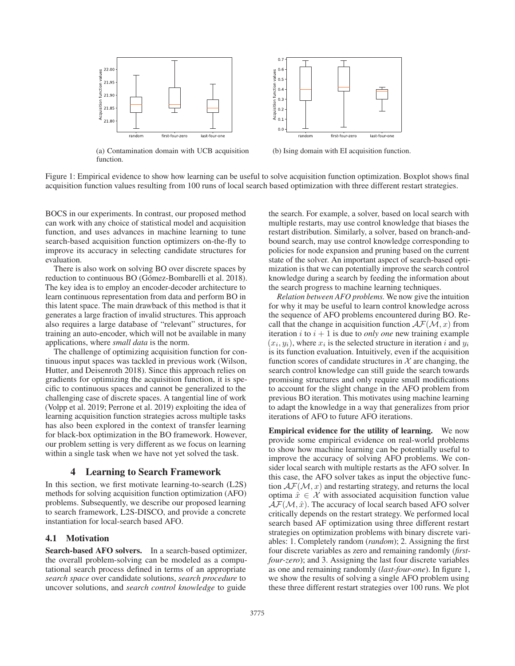

(a) Contamination domain with UCB acquisition function.



(b) Ising domain with EI acquisition function.

Figure 1: Empirical evidence to show how learning can be useful to solve acquisition function optimization. Boxplot shows final acquisition function values resulting from 100 runs of local search based optimization with three different restart strategies.

BOCS in our experiments. In contrast, our proposed method can work with any choice of statistical model and acquisition function, and uses advances in machine learning to tune search-based acquisition function optimizers on-the-fly to improve its accuracy in selecting candidate structures for evaluation.

There is also work on solving BO over discrete spaces by reduction to continuous BO (Gómez-Bombarelli et al. 2018). The key idea is to employ an encoder-decoder architecture to learn continuous representation from data and perform BO in this latent space. The main drawback of this method is that it generates a large fraction of invalid structures. This approach also requires a large database of "relevant" structures, for training an auto-encoder, which will not be available in many applications, where *small data* is the norm.

The challenge of optimizing acquisition function for continuous input spaces was tackled in previous work (Wilson, Hutter, and Deisenroth 2018). Since this approach relies on gradients for optimizing the acquisition function, it is specific to continuous spaces and cannot be generalized to the challenging case of discrete spaces. A tangential line of work (Volpp et al. 2019; Perrone et al. 2019) exploiting the idea of learning acquisition function strategies across multiple tasks has also been explored in the context of transfer learning for black-box optimization in the BO framework. However, our problem setting is very different as we focus on learning within a single task when we have not yet solved the task.

## 4 Learning to Search Framework

In this section, we first motivate learning-to-search (L2S) methods for solving acquisition function optimization (AFO) problems. Subsequently, we describe our proposed learning to search framework, L2S-DISCO, and provide a concrete instantiation for local-search based AFO.

#### 4.1 Motivation

Search-based AFO solvers. In a search-based optimizer, the overall problem-solving can be modeled as a computational search process defined in terms of an appropriate *search space* over candidate solutions, *search procedure* to uncover solutions, and *search control knowledge* to guide

the search. For example, a solver, based on local search with multiple restarts, may use control knowledge that biases the restart distribution. Similarly, a solver, based on branch-andbound search, may use control knowledge corresponding to policies for node expansion and pruning based on the current state of the solver. An important aspect of search-based optimization is that we can potentially improve the search control knowledge during a search by feeding the information about the search progress to machine learning techniques.

*Relation between AFO problems.* We now give the intuition for why it may be useful to learn control knowledge across the sequence of AFO problems encountered during BO. Recall that the change in acquisition function  $\mathcal{AF}(M, x)$  from iteration  $i$  to  $i + 1$  is due to *only one* new training example  $(x_i, y_i)$ , where  $x_i$  is the selected structure in iteration i and  $y_i$ is its function evaluation. Intuitively, even if the acquisition function scores of candidate structures in  $\mathcal X$  are changing, the search control knowledge can still guide the search towards promising structures and only require small modifications to account for the slight change in the AFO problem from previous BO iteration. This motivates using machine learning to adapt the knowledge in a way that generalizes from prior iterations of AFO to future AFO iterations.

Empirical evidence for the utility of learning. We now provide some empirical evidence on real-world problems to show how machine learning can be potentially useful to improve the accuracy of solving AFO problems. We consider local search with multiple restarts as the AFO solver. In this case, the AFO solver takes as input the objective function  $\mathcal{AF}(\mathcal{M}, x)$  and restarting strategy, and returns the local optima  $\hat{x} \in \mathcal{X}$  with associated acquisition function value  $AF(M, \hat{x})$ . The accuracy of local search based AFO solver critically depends on the restart strategy. We performed local search based AF optimization using three different restart strategies on optimization problems with binary discrete variables: 1. Completely random (*random*); 2. Assigning the first four discrete variables as zero and remaining randomly (*firstfour-zero*); and 3. Assigning the last four discrete variables as one and remaining randomly (*last-four-one*). In figure 1, we show the results of solving a single AFO problem using these three different restart strategies over 100 runs. We plot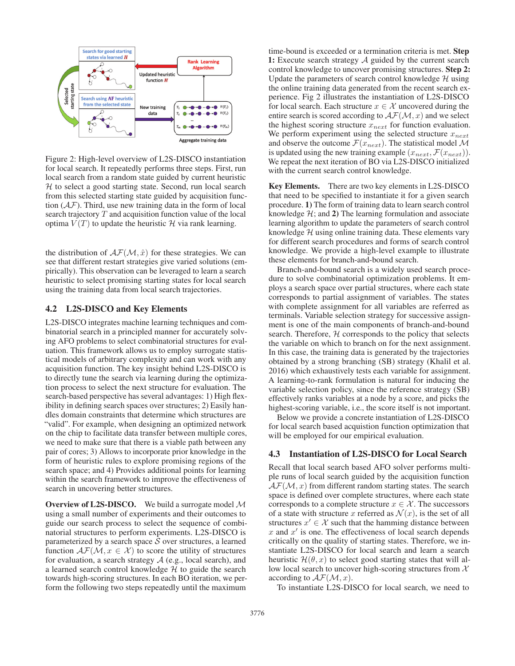

Figure 2: High-level overview of L2S-DISCO instantiation for local search. It repeatedly performs three steps. First, run local search from a random state guided by current heuristic  $H$  to select a good starting state. Second, run local search from this selected starting state guided by acquisition function  $(AF)$ . Third, use new training data in the form of local search trajectory  $T$  and acquisition function value of the local optima  $V(T)$  to update the heuristic H via rank learning.

the distribution of  $\mathcal{AF}(M, \hat{x})$  for these strategies. We can see that different restart strategies give varied solutions (empirically). This observation can be leveraged to learn a search heuristic to select promising starting states for local search using the training data from local search trajectories.

#### 4.2 L2S-DISCO and Key Elements

L2S-DISCO integrates machine learning techniques and combinatorial search in a principled manner for accurately solving AFO problems to select combinatorial structures for evaluation. This framework allows us to employ surrogate statistical models of arbitrary complexity and can work with any acquisition function. The key insight behind L2S-DISCO is to directly tune the search via learning during the optimization process to select the next structure for evaluation. The search-based perspective has several advantages: 1) High flexibility in defining search spaces over structures; 2) Easily handles domain constraints that determine which structures are "valid". For example, when designing an optimized network on the chip to facilitate data transfer between multiple cores, we need to make sure that there is a viable path between any pair of cores; 3) Allows to incorporate prior knowledge in the form of heuristic rules to explore promising regions of the search space; and 4) Provides additional points for learning within the search framework to improve the effectiveness of search in uncovering better structures.

Overview of L2S-DISCO. We build a surrogate model  $M$ using a small number of experiments and their outcomes to guide our search process to select the sequence of combinatorial structures to perform experiments. L2S-DISCO is parameterized by a search space  $S$  over structures, a learned function  $\mathcal{AF}(M, x \in \mathcal{X})$  to score the utility of structures for evaluation, a search strategy  $A$  (e.g., local search), and a learned search control knowledge  $H$  to guide the search towards high-scoring structures. In each BO iteration, we perform the following two steps repeatedly until the maximum

time-bound is exceeded or a termination criteria is met. Step 1: Execute search strategy  $A$  guided by the current search control knowledge to uncover promising structures. Step 2: Update the parameters of search control knowledge  $H$  using the online training data generated from the recent search experience. Fig 2 illustrates the instantiation of L2S-DISCO for local search. Each structure  $x \in \mathcal{X}$  uncovered during the entire search is scored according to  $\mathcal{AF}(\mathcal{M}, x)$  and we select the highest scoring structure  $x_{next}$  for function evaluation. We perform experiment using the selected structure  $x_{next}$ and observe the outcome  $\mathcal{F}(x_{next})$ . The statistical model M is updated using the new training example  $(x_{next}, \mathcal{F}(x_{next}))$ . We repeat the next iteration of BO via L2S-DISCO initialized with the current search control knowledge.

Key Elements. There are two key elements in L2S-DISCO that need to be specified to instantiate it for a given search procedure. 1) The form of training data to learn search control knowledge  $H$ ; and 2) The learning formulation and associate learning algorithm to update the parameters of search control knowledge  $H$  using online training data. These elements vary for different search procedures and forms of search control knowledge. We provide a high-level example to illustrate these elements for branch-and-bound search.

Branch-and-bound search is a widely used search procedure to solve combinatorial optimization problems. It employs a search space over partial structures, where each state corresponds to partial assignment of variables. The states with complete assignment for all variables are referred as terminals. Variable selection strategy for successive assignment is one of the main components of branch-and-bound search. Therefore,  $H$  corresponds to the policy that selects the variable on which to branch on for the next assignment. In this case, the training data is generated by the trajectories obtained by a strong branching (SB) strategy (Khalil et al. 2016) which exhaustively tests each variable for assignment. A learning-to-rank formulation is natural for inducing the variable selection policy, since the reference strategy (SB) effectively ranks variables at a node by a score, and picks the highest-scoring variable, i.e., the score itself is not important.

Below we provide a concrete instantiation of L2S-DISCO for local search based acquistion function optimization that will be employed for our empirical evaluation.

#### 4.3 Instantiation of L2S-DISCO for Local Search

Recall that local search based AFO solver performs multiple runs of local search guided by the acquisition function  $A\mathcal{F}(\mathcal{M},x)$  from different random starting states. The search space is defined over complete structures, where each state corresponds to a complete structure  $x \in \mathcal{X}$ . The successors of a state with structure x referred as  $\mathcal{N}(x)$ , is the set of all structures  $x' \in \mathcal{X}$  such that the hamming distance between  $x$  and  $x'$  is one. The effectiveness of local search depends critically on the quality of starting states. Therefore, we instantiate L2S-DISCO for local search and learn a search heuristic  $\mathcal{H}(\theta, x)$  to select good starting states that will allow local search to uncover high-scoring structures from X according to  $\mathcal{AF}(\mathcal{M},x)$ .

To instantiate L2S-DISCO for local search, we need to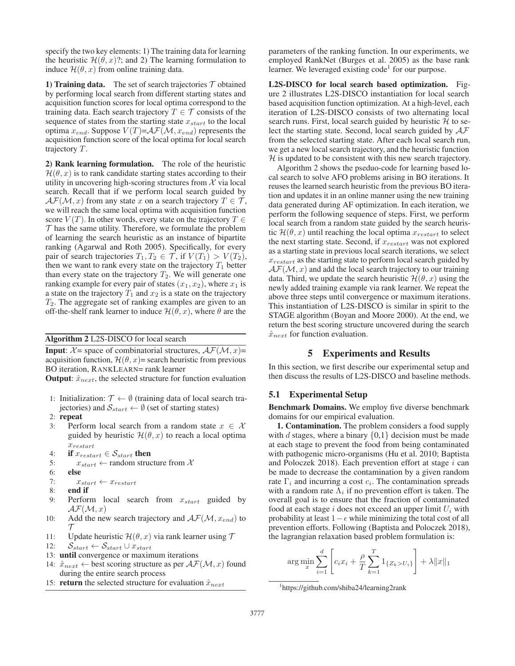specify the two key elements: 1) The training data for learning the heuristic  $\mathcal{H}(\theta, x)$ ?; and 2) The learning formulation to induce  $\mathcal{H}(\theta, x)$  from online training data.

1) Training data. The set of search trajectories  $\tau$  obtained by performing local search from different starting states and acquisition function scores for local optima correspond to the training data. Each search trajectory  $T \in \mathcal{T}$  consists of the sequence of states from the starting state  $x_{start}$  to the local optima  $x_{end}$ . Suppose  $V(T)=\mathcal{AF}(\mathcal{M}, x_{end})$  represents the acquisition function score of the local optima for local search trajectory T.

2) Rank learning formulation. The role of the heuristic  $\mathcal{H}(\theta, x)$  is to rank candidate starting states according to their utility in uncovering high-scoring structures from  $X$  via local search. Recall that if we perform local search guided by  $AF(M, x)$  from any state x on a search trajectory  $T \in \mathcal{T}$ , we will reach the same local optima with acquisition function score  $V(T)$ . In other words, every state on the trajectory  $T \in$  $\mathcal T$  has the same utility. Therefore, we formulate the problem of learning the search heuristic as an instance of bipartite ranking (Agarwal and Roth 2005). Specifically, for every pair of search trajectories  $T_1, T_2 \in \mathcal{T}$ , if  $V(T_1) > V(T_2)$ , then we want to rank every state on the trajectory  $T_1$  better than every state on the trajectory  $T_2$ . We will generate one ranking example for every pair of states  $(x_1, x_2)$ , where  $x_1$  is a state on the trajectory  $T_1$  and  $x_2$  is a state on the trajectory  $T_2$ . The aggregate set of ranking examples are given to an off-the-shelf rank learner to induce  $\mathcal{H}(\theta, x)$ , where  $\theta$  are the

Algorithm 2 L2S-DISCO for local search

**Input:**  $\mathcal{X}$  = space of combinatorial structures,  $\mathcal{A}\mathcal{F}(\mathcal{M}, x)$  = acquisition function,  $\mathcal{H}(\theta, x)$ = search heuristic from previous BO iteration, RANKLEARN= rank learner

**Output:**  $\hat{x}_{next}$ , the selected structure for function evaluation

- 1: Initialization:  $\mathcal{T} \leftarrow \emptyset$  (training data of local search trajectories) and  $S_{start} \leftarrow \emptyset$  (set of starting states)
- 2: repeat
- 3: Perform local search from a random state  $x \in \mathcal{X}$ guided by heuristic  $\mathcal{H}(\theta, x)$  to reach a local optima  $x_{restart}$
- 4: if  $x_{restart} \in S_{start}$  then
- 5:  $x_{start} \leftarrow$  random structure from X
- 6: else

7:  $x_{start} \leftarrow x_{restart}$ 

- 8: end if
- 9: Perform local search from  $x_{start}$  guided by  $AF(M, x)$
- 10: Add the new search trajectory and  $\mathcal{AF}(M, x_{end})$  to  $\tau$
- 11: Update heuristic  $\mathcal{H}(\theta, x)$  via rank learner using  $\mathcal{T}$ <br>12:  $S_{start} \leftarrow S_{start} \cup x_{start}$
- $S_{start} \leftarrow S_{start} \cup x_{start}$
- 13: until convergence or maximum iterations
- 14:  $\hat{x}_{next} \leftarrow$  best scoring structure as per  $\mathcal{AF}(M, x)$  found during the entire search process
- 15: **return** the selected structure for evaluation  $\hat{x}_{next}$

parameters of the ranking function. In our experiments, we employed RankNet (Burges et al. 2005) as the base rank learner. We leveraged existing  $code<sup>1</sup>$  for our purpose.

L2S-DISCO for local search based optimization. Figure 2 illustrates L2S-DISCO instantiation for local search based acquisition function optimization. At a high-level, each iteration of L2S-DISCO consists of two alternating local search runs. First, local search guided by heuristic  $H$  to select the starting state. Second, local search guided by  $A\mathcal{F}$ from the selected starting state. After each local search run, we get a new local search trajectory, and the heuristic function  $H$  is updated to be consistent with this new search trajectory.

Algorithm 2 shows the pseduo-code for learning based local search to solve AFO problems arising in BO iterations. It reuses the learned search heuristic from the previous BO iteration and updates it in an online manner using the new training data generated during AF optimization. In each iteration, we perform the following sequence of steps. First, we perform local search from a random state guided by the search heuristic  $\mathcal{H}(\theta, x)$  until reaching the local optima  $x_{restart}$  to select the next starting state. Second, if  $x_{restart}$  was not explored as a starting state in previous local search iterations, we select  $x_{restart}$  as the starting state to perform local search guided by  $A\mathcal{F}(\mathcal{M},x)$  and add the local search trajectory to our training data. Third, we update the search heuristic  $\mathcal{H}(\theta, x)$  using the newly added training example via rank learner. We repeat the above three steps until convergence or maximum iterations. This instantiation of L2S-DISCO is similar in spirit to the STAGE algorithm (Boyan and Moore 2000). At the end, we return the best scoring structure uncovered during the search  $\hat{x}_{next}$  for function evaluation.

## 5 Experiments and Results

In this section, we first describe our experimental setup and then discuss the results of L2S-DISCO and baseline methods.

#### 5.1 Experimental Setup

Benchmark Domains. We employ five diverse benchmark domains for our empirical evaluation.

1. Contamination. The problem considers a food supply with d stages, where a binary  $\{0,1\}$  decision must be made at each stage to prevent the food from being contaminated with pathogenic micro-organisms (Hu et al. 2010; Baptista and Poloczek 2018). Each prevention effort at stage  $i$  can be made to decrease the contamination by a given random rate  $\Gamma_i$  and incurring a cost  $c_i$ . The contamination spreads with a random rate  $\Lambda_i$  if no prevention effort is taken. The overall goal is to ensure that the fraction of contaminated food at each stage  $i$  does not exceed an upper limit  $U_i$  with probability at least  $1 - \epsilon$  while minimizing the total cost of all prevention efforts. Following (Baptista and Poloczek 2018), the lagrangian relaxation based problem formulation is:

$$
\arg\min_{x} \sum_{i=1}^{d} \left[ c_i x_i + \frac{\rho}{T} \sum_{k=1}^{T} 1_{\{Z_k > U_i\}} \right] + \lambda \|x\|_1
$$

<sup>1</sup> https://github.com/shiba24/learning2rank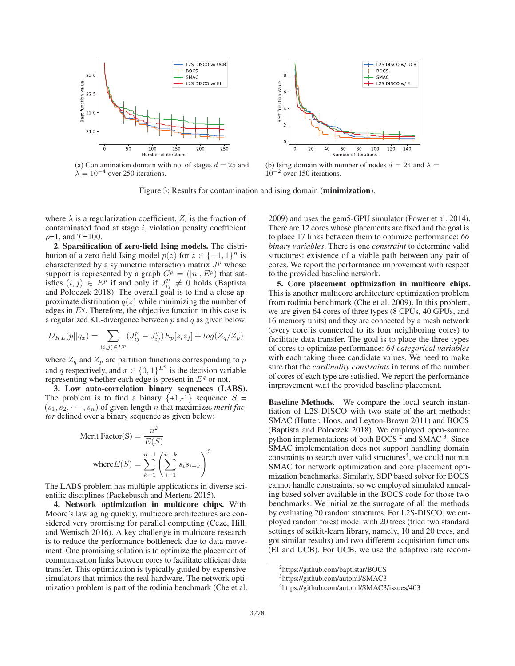

(a) Contamination domain with no. of stages  $d = 25$  and  $\lambda = 10^{-4}$  over 250 iterations.



(b) Ising domain with number of nodes  $d = 24$  and  $\lambda =$  $10^{-2}$  over 150 iterations.

Figure 3: Results for contamination and ising domain (**minimization**).

where  $\lambda$  is a regularization coefficient,  $Z_i$  is the fraction of contaminated food at stage  $i$ , violation penalty coefficient  $\rho = 1$ , and  $T = 100$ .

2. Sparsification of zero-field Ising models. The distribution of a zero field Ising model  $p(z)$  for  $z \in \{-1, 1\}^n$  is characterized by a symmetric interaction matrix  $J<sup>p</sup>$  whose support is represented by a graph  $G^p = ([n], E^p)$  that satisfies  $(i, j) \in E^p$  if and only if  $J^p \neq 0$  holds (Bantista isfies  $(i, j) \in E^p$  if and only if  $J_{ij}^p \neq 0$  holds (Baptista<br>and Poloczek 2018) The overall goal is to find a close anand Poloczek 2018). The overall goal is to find a close approximate distribution  $q(z)$  while minimizing the number of edges in  $E<sup>q</sup>$ . Therefore, the objective function in this case is a regularized KL-divergence between  $p$  and  $q$  as given below:

$$
D_{KL}(p||q_x) = \sum_{(i,j) \in E^p} (J_{ij}^p - J_{ij}^q) E_p[z_iz_j] + \log(Z_q/Z_p)
$$

where  $Z_q$  and  $Z_p$  are partition functions corresponding to p and q respectively, and  $x \in \{0, 1\}^{E^q}$  is the decision variable<br>representing whether each edge is present in  $E^q$  or not representing whether each edge is present in  $E<sup>q</sup>$  or not.

3. Low auto-correlation binary sequences (LABS). The problem is to find a binary  $\{+1,-1\}$  sequence  $S =$  $(s_1, s_2, \dots, s_n)$  of given length *n* that maximizes *merit factor* defined over a binary sequence as given below:

$$
\begin{aligned} \text{Merit Factor(S)} &= \frac{n^2}{E(S)}\\ \text{where} E(S) &= \sum_{k=1}^{n-1} \left( \sum_{i=1}^{n-k} s_i s_{i+k} \right)^2 \end{aligned}
$$

The LABS problem has multiple applications in diverse scientific disciplines (Packebusch and Mertens 2015).

4. Network optimization in multicore chips. With Moore's law aging quickly, multicore architectures are considered very promising for parallel computing (Ceze, Hill, and Wenisch 2016). A key challenge in multicore research is to reduce the performance bottleneck due to data movement. One promising solution is to optimize the placement of communication links between cores to facilitate efficient data transfer. This optimization is typically guided by expensive simulators that mimics the real hardware. The network optimization problem is part of the rodinia benchmark (Che et al. 2009) and uses the gem5-GPU simulator (Power et al. 2014). There are 12 cores whose placements are fixed and the goal is to place 17 links between them to optimize performance: *66 binary variables*. There is one *constraint* to determine valid structures: existence of a viable path between any pair of cores. We report the performance improvement with respect to the provided baseline network.

5. Core placement optimization in multicore chips. This is another multicore architecture optimization problem from rodinia benchmark (Che et al. 2009). In this problem, we are given 64 cores of three types (8 CPUs, 40 GPUs, and 16 memory units) and they are connected by a mesh network (every core is connected to its four neighboring cores) to facilitate data transfer. The goal is to place the three types of cores to optimize performance: *64 categorical variables* with each taking three candidate values. We need to make sure that the *cardinality constraints* in terms of the number of cores of each type are satisfied. We report the performance improvement w.r.t the provided baseline placement.

Baseline Methods. We compare the local search instantiation of L2S-DISCO with two state-of-the-art methods: SMAC (Hutter, Hoos, and Leyton-Brown 2011) and BOCS (Baptista and Poloczek 2018). We employed open-source python implementations of both BOCS  $2$  and SMAC  $3$ . Since SMAC implementation does not support handling domain constraints to search over valid structures $4$ , we could not run SMAC for network optimization and core placement optimization benchmarks. Similarly, SDP based solver for BOCS cannot handle constraints, so we employed simulated annealing based solver available in the BOCS code for those two benchmarks. We initialize the surrogate of all the methods by evaluating 20 random structures. For L2S-DISCO. we employed random forest model with 20 trees (tried two standard settings of scikit-learn library, namely, 10 and 20 trees, and got similar results) and two different acquisition functions (EI and UCB). For UCB, we use the adaptive rate recom-

<sup>2</sup> https://github.com/baptistar/BOCS

<sup>3</sup> https://github.com/automl/SMAC3

<sup>4</sup> https://github.com/automl/SMAC3/issues/403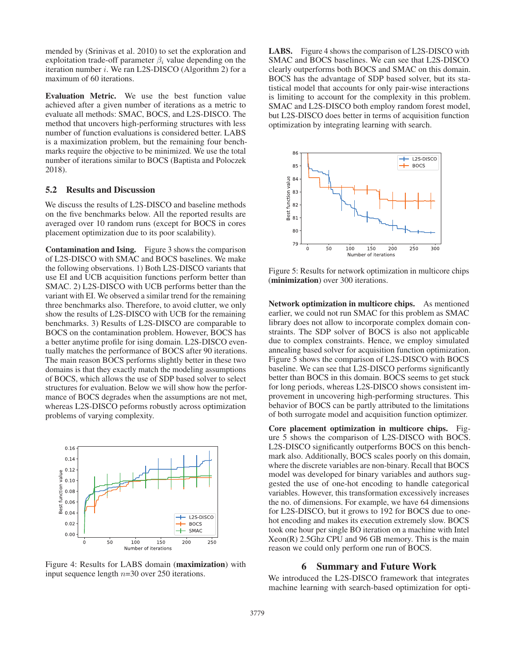mended by (Srinivas et al. 2010) to set the exploration and exploitation trade-off parameter  $\beta_i$  value depending on the iteration number  $i$ . We ran L2S-DISCO (Algorithm 2) for a maximum of 60 iterations.

Evaluation Metric. We use the best function value achieved after a given number of iterations as a metric to evaluate all methods: SMAC, BOCS, and L2S-DISCO. The method that uncovers high-performing structures with less number of function evaluations is considered better. LABS is a maximization problem, but the remaining four benchmarks require the objective to be minimized. We use the total number of iterations similar to BOCS (Baptista and Poloczek 2018).

### 5.2 Results and Discussion

We discuss the results of L2S-DISCO and baseline methods on the five benchmarks below. All the reported results are averaged over 10 random runs (except for BOCS in cores placement optimization due to its poor scalability).

Contamination and Ising. Figure 3 shows the comparison of L2S-DISCO with SMAC and BOCS baselines. We make the following observations. 1) Both L2S-DISCO variants that use EI and UCB acquisition functions perform better than SMAC. 2) L2S-DISCO with UCB performs better than the variant with EI. We observed a similar trend for the remaining three benchmarks also. Therefore, to avoid clutter, we only show the results of L2S-DISCO with UCB for the remaining benchmarks. 3) Results of L2S-DISCO are comparable to BOCS on the contamination problem. However, BOCS has a better anytime profile for ising domain. L2S-DISCO eventually matches the performance of BOCS after 90 iterations. The main reason BOCS performs slightly better in these two domains is that they exactly match the modeling assumptions of BOCS, which allows the use of SDP based solver to select structures for evaluation. Below we will show how the performance of BOCS degrades when the assumptions are not met, whereas L2S-DISCO peforms robustly across optimization problems of varying complexity.



Figure 4: Results for LABS domain (maximization) with input sequence length  $n=30$  over 250 iterations.

LABS. Figure 4 shows the comparison of L2S-DISCO with SMAC and BOCS baselines. We can see that L2S-DISCO clearly outperforms both BOCS and SMAC on this domain. BOCS has the advantage of SDP based solver, but its statistical model that accounts for only pair-wise interactions is limiting to account for the complexity in this problem. SMAC and L2S-DISCO both employ random forest model, but L2S-DISCO does better in terms of acquisition function optimization by integrating learning with search.



Figure 5: Results for network optimization in multicore chips (minimization) over 300 iterations.

Network optimization in multicore chips. As mentioned earlier, we could not run SMAC for this problem as SMAC library does not allow to incorporate complex domain constraints. The SDP solver of BOCS is also not applicable due to complex constraints. Hence, we employ simulated annealing based solver for acquisition function optimization. Figure 5 shows the comparison of L2S-DISCO with BOCS baseline. We can see that L2S-DISCO performs significantly better than BOCS in this domain. BOCS seems to get stuck for long periods, whereas L2S-DISCO shows consistent improvement in uncovering high-performing structures. This behavior of BOCS can be partly attributed to the limitations of both surrogate model and acquisition function optimizer.

Core placement optimization in multicore chips. Figure 5 shows the comparison of L2S-DISCO with BOCS. L2S-DISCO significantly outperforms BOCS on this benchmark also. Additionally, BOCS scales poorly on this domain, where the discrete variables are non-binary. Recall that BOCS model was developed for binary variables and authors suggested the use of one-hot encoding to handle categorical variables. However, this transformation excessively increases the no. of dimensions. For example, we have 64 dimensions for L2S-DISCO, but it grows to 192 for BOCS due to onehot encoding and makes its execution extremely slow. BOCS took one hour per single BO iteration on a machine with Intel Xeon(R) 2.5Ghz CPU and 96 GB memory. This is the main reason we could only perform one run of BOCS.

#### 6 Summary and Future Work

We introduced the L2S-DISCO framework that integrates machine learning with search-based optimization for opti-